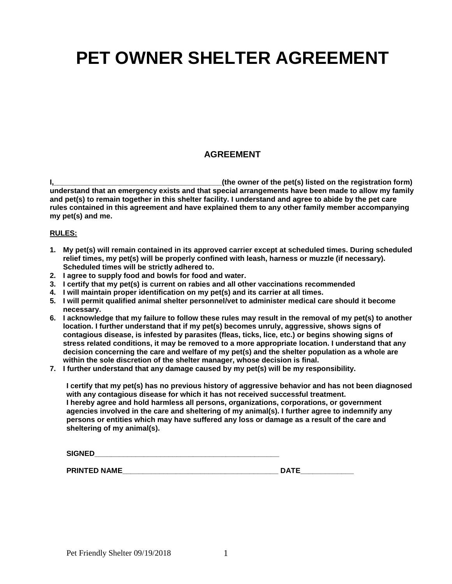# **PET OWNER SHELTER AGREEMENT**

## **AGREEMENT**

**I,\_\_\_\_\_\_\_\_\_\_\_\_\_\_\_\_\_\_\_\_\_\_\_\_\_\_\_\_\_\_\_\_\_\_\_\_\_\_\_\_\_(the owner of the pet(s) listed on the registration form) understand that an emergency exists and that special arrangements have been made to allow my family and pet(s) to remain together in this shelter facility. I understand and agree to abide by the pet care rules contained in this agreement and have explained them to any other family member accompanying my pet(s) and me.**

#### **RULES:**

- **1. My pet(s) will remain contained in its approved carrier except at scheduled times. During scheduled relief times, my pet(s) will be properly confined with leash, harness or muzzle (if necessary). Scheduled times will be strictly adhered to.**
- **2. I agree to supply food and bowls for food and water.**
- **3. I certify that my pet(s) is current on rabies and all other vaccinations recommended**
- **4. I will maintain proper identification on my pet(s) and its carrier at all times.**
- **5. I will permit qualified animal shelter personnel/vet to administer medical care should it become necessary.**
- **6. I acknowledge that my failure to follow these rules may result in the removal of my pet(s) to another location. I further understand that if my pet(s) becomes unruly, aggressive, shows signs of contagious disease, is infested by parasites (fleas, ticks, lice, etc.) or begins showing signs of stress related conditions, it may be removed to a more appropriate location. I understand that any decision concerning the care and welfare of my pet(s) and the shelter population as a whole are within the sole discretion of the shelter manager, whose decision is final.**
- **7. I further understand that any damage caused by my pet(s) will be my responsibility.**

**I certify that my pet(s) has no previous history of aggressive behavior and has not been diagnosed with any contagious disease for which it has not received successful treatment. I hereby agree and hold harmless all persons, organizations, corporations, or government agencies involved in the care and sheltering of my animal(s). I further agree to indemnify any persons or entities which may have suffered any loss or damage as a result of the care and sheltering of my animal(s).**

| <b>SIGNED</b>       |             |
|---------------------|-------------|
|                     |             |
| <b>PRINTED NAME</b> | <b>DATE</b> |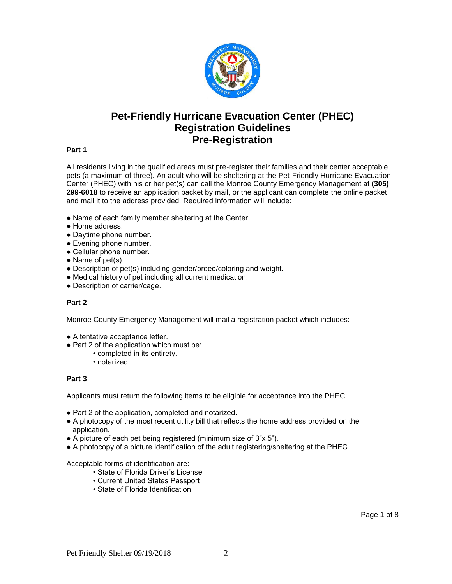

# **Pet-Friendly Hurricane Evacuation Center (PHEC) Registration Guidelines Pre-Registration**

#### **Part 1**

All residents living in the qualified areas must pre-register their families and their center acceptable pets (a maximum of three). An adult who will be sheltering at the Pet-Friendly Hurricane Evacuation Center (PHEC) with his or her pet(s) can call the Monroe County Emergency Management at **(305) 299-6018** to receive an application packet by mail, or the applicant can complete the online packet and mail it to the address provided. Required information will include:

- Name of each family member sheltering at the Center.
- Home address.
- Daytime phone number.
- Evening phone number.
- Cellular phone number.
- Name of pet(s).
- Description of pet(s) including gender/breed/coloring and weight.
- Medical history of pet including all current medication.
- Description of carrier/cage.

#### **Part 2**

Monroe County Emergency Management will mail a registration packet which includes:

- A tentative acceptance letter.
- Part 2 of the application which must be:
	- completed in its entirety.
	- notarized.

#### **Part 3**

Applicants must return the following items to be eligible for acceptance into the PHEC:

- Part 2 of the application, completed and notarized.
- A photocopy of the most recent utility bill that reflects the home address provided on the application.
- A picture of each pet being registered (minimum size of 3"x 5").
- A photocopy of a picture identification of the adult registering/sheltering at the PHEC.

Acceptable forms of identification are:

- State of Florida Driver's License
- Current United States Passport
- State of Florida Identification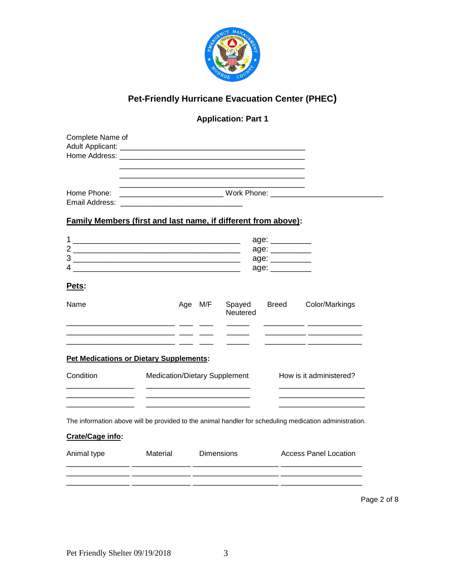

# **Pet-Friendly Hurricane Evacuation Center (PHEC)**

## **Application: Part 1**

## **Family Members (first and last name, if different from above):**

|        | age:                 |
|--------|----------------------|
| ⌒      | age:<br>age:<br>age: |
| ◠<br>J |                      |
| ∠      |                      |
|        |                      |

## **Pets:**

| Name                                                                                                   |                               | M/F<br>Age | Spayed<br>Neutered | <b>Breed</b> | Color/Markings               |
|--------------------------------------------------------------------------------------------------------|-------------------------------|------------|--------------------|--------------|------------------------------|
|                                                                                                        |                               |            |                    |              |                              |
| <b>Pet Medications or Dietary Supplements:</b>                                                         |                               |            |                    |              |                              |
| Condition                                                                                              | Medication/Dietary Supplement |            |                    |              | How is it administered?      |
|                                                                                                        |                               |            |                    |              |                              |
| The information above will be provided to the animal handler for scheduling medication administration. |                               |            |                    |              |                              |
| Crate/Cage info:                                                                                       |                               |            |                    |              |                              |
| Animal type                                                                                            | Material                      |            | <b>Dimensions</b>  |              | <b>Access Panel Location</b> |
|                                                                                                        |                               |            |                    |              |                              |
|                                                                                                        |                               |            |                    |              | Page 2 of 8                  |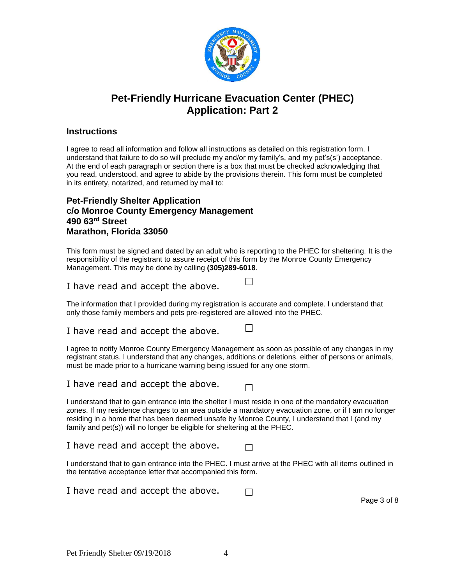

# **Pet-Friendly Hurricane Evacuation Center (PHEC) Application: Part 2**

#### **Instructions**

I agree to read all information and follow all instructions as detailed on this registration form. I understand that failure to do so will preclude my and/or my family's, and my pet's(s') acceptance. At the end of each paragraph or section there is a box that must be checked acknowledging that you read, understood, and agree to abide by the provisions therein. This form must be completed in its entirety, notarized, and returned by mail to:

### **Pet-Friendly Shelter Application c/o Monroe County Emergency Management 490 63rd Street Marathon, Florida 33050**

This form must be signed and dated by an adult who is reporting to the PHEC for sheltering. It is the responsibility of the registrant to assure receipt of this form by the Monroe County Emergency Management. This may be done by calling **(305)289-6018**.

I have read and accept the above.

The information that I provided during my registration is accurate and complete. I understand that only those family members and pets pre-registered are allowed into the PHEC.

I have read and accept the above.

I agree to notify Monroe County Emergency Management as soon as possible of any changes in my registrant status. I understand that any changes, additions or deletions, either of persons or animals, must be made prior to a hurricane warning being issued for any one storm.

I have read and accept the above.

П

 $\Box$ 

 $\Box$ 

I understand that to gain entrance into the shelter I must reside in one of the mandatory evacuation zones. If my residence changes to an area outside a mandatory evacuation zone, or if I am no longer residing in a home that has been deemed unsafe by Monroe County, I understand that I (and my family and pet(s)) will no longer be eligible for sheltering at the PHEC.

I have read and accept the above.

I understand that to gain entrance into the PHEC. I must arrive at the PHEC with all items outlined in the tentative acceptance letter that accompanied this form.

I have read and accept the above.  $\Box$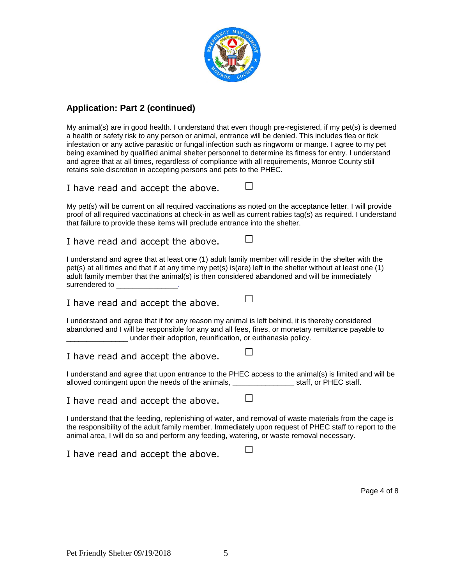

## **Application: Part 2 (continued)**

My animal(s) are in good health. I understand that even though pre-registered, if my pet(s) is deemed a health or safety risk to any person or animal, entrance will be denied. This includes flea or tick infestation or any active parasitic or fungal infection such as ringworm or mange. I agree to my pet being examined by qualified animal shelter personnel to determine its fitness for entry. I understand and agree that at all times, regardless of compliance with all requirements, Monroe County still retains sole discretion in accepting persons and pets to the PHEC.

### I have read and accept the above.

My pet(s) will be current on all required vaccinations as noted on the acceptance letter. I will provide proof of all required vaccinations at check-in as well as current rabies tag(s) as required. I understand that failure to provide these items will preclude entrance into the shelter.

П

П

 $\Box$ 

П

П

I have read and accept the above.

I understand and agree that at least one (1) adult family member will reside in the shelter with the pet(s) at all times and that if at any time my pet(s) is(are) left in the shelter without at least one (1) adult family member that the animal(s) is then considered abandoned and will be immediately surrendered to

I have read and accept the above.

I understand and agree that if for any reason my animal is left behind, it is thereby considered abandoned and I will be responsible for any and all fees, fines, or monetary remittance payable to \_\_\_\_\_\_\_\_\_\_\_\_\_\_\_ under their adoption, reunification, or euthanasia policy.

I have read and accept the above.

I understand and agree that upon entrance to the PHEC access to the animal(s) is limited and will be allowed contingent upon the needs of the animals, example 10 staff, or PHEC staff.

I have read and accept the above.

I understand that the feeding, replenishing of water, and removal of waste materials from the cage is the responsibility of the adult family member. Immediately upon request of PHEC staff to report to the animal area, I will do so and perform any feeding, watering, or waste removal necessary.

I have read and accept the above.

Page 4 of 8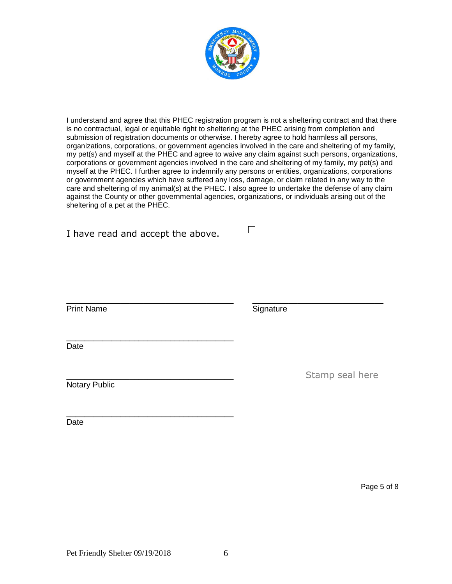

I understand and agree that this PHEC registration program is not a sheltering contract and that there is no contractual, legal or equitable right to sheltering at the PHEC arising from completion and submission of registration documents or otherwise. I hereby agree to hold harmless all persons, organizations, corporations, or government agencies involved in the care and sheltering of my family, my pet(s) and myself at the PHEC and agree to waive any claim against such persons, organizations, corporations or government agencies involved in the care and sheltering of my family, my pet(s) and myself at the PHEC. I further agree to indemnify any persons or entities, organizations, corporations or government agencies which have suffered any loss, damage, or claim related in any way to the care and sheltering of my animal(s) at the PHEC. I also agree to undertake the defense of any claim against the County or other governmental agencies, organizations, or individuals arising out of the sheltering of a pet at the PHEC.

 $\Box$ 

\_\_\_\_\_\_\_\_\_\_\_\_\_\_\_\_\_\_\_\_\_\_\_\_\_\_\_\_\_\_\_\_\_\_\_\_\_ \_\_\_\_\_\_\_\_\_\_\_\_\_\_\_\_\_\_\_\_\_\_\_\_\_\_\_\_\_

I have read and accept the above.

\_\_\_\_\_\_\_\_\_\_\_\_\_\_\_\_\_\_\_\_\_\_\_\_\_\_\_\_\_\_\_\_\_\_\_\_\_

Print Name Signature

\_\_\_\_\_\_\_\_\_\_\_\_\_\_\_\_\_\_\_\_\_\_\_\_\_\_\_\_\_\_\_\_\_\_\_\_\_ **Date** 

Notary Public

Date

Stamp seal here

Page 5 of 8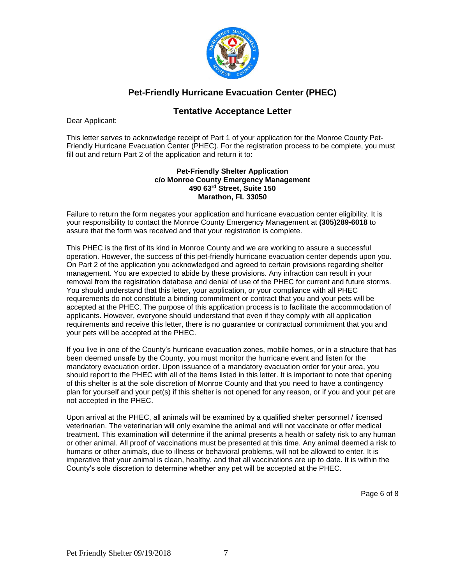

## **Pet-Friendly Hurricane Evacuation Center (PHEC)**

## **Tentative Acceptance Letter**

Dear Applicant:

This letter serves to acknowledge receipt of Part 1 of your application for the Monroe County Pet-Friendly Hurricane Evacuation Center (PHEC). For the registration process to be complete, you must fill out and return Part 2 of the application and return it to:

#### **Pet-Friendly Shelter Application c/o Monroe County Emergency Management 490 63rd Street, Suite 150 Marathon, FL 33050**

Failure to return the form negates your application and hurricane evacuation center eligibility. It is your responsibility to contact the Monroe County Emergency Management at **(305)289-6018** to assure that the form was received and that your registration is complete.

This PHEC is the first of its kind in Monroe County and we are working to assure a successful operation. However, the success of this pet-friendly hurricane evacuation center depends upon you. On Part 2 of the application you acknowledged and agreed to certain provisions regarding shelter management. You are expected to abide by these provisions. Any infraction can result in your removal from the registration database and denial of use of the PHEC for current and future storms. You should understand that this letter, your application, or your compliance with all PHEC requirements do not constitute a binding commitment or contract that you and your pets will be accepted at the PHEC. The purpose of this application process is to facilitate the accommodation of applicants. However, everyone should understand that even if they comply with all application requirements and receive this letter, there is no guarantee or contractual commitment that you and your pets will be accepted at the PHEC.

If you live in one of the County's hurricane evacuation zones, mobile homes, or in a structure that has been deemed unsafe by the County, you must monitor the hurricane event and listen for the mandatory evacuation order. Upon issuance of a mandatory evacuation order for your area, you should report to the PHEC with all of the items listed in this letter. It is important to note that opening of this shelter is at the sole discretion of Monroe County and that you need to have a contingency plan for yourself and your pet(s) if this shelter is not opened for any reason, or if you and your pet are not accepted in the PHEC.

Upon arrival at the PHEC, all animals will be examined by a qualified shelter personnel / licensed veterinarian. The veterinarian will only examine the animal and will not vaccinate or offer medical treatment. This examination will determine if the animal presents a health or safety risk to any human or other animal. All proof of vaccinations must be presented at this time. Any animal deemed a risk to humans or other animals, due to illness or behavioral problems, will not be allowed to enter. It is imperative that your animal is clean, healthy, and that all vaccinations are up to date. It is within the County's sole discretion to determine whether any pet will be accepted at the PHEC.

Page 6 of 8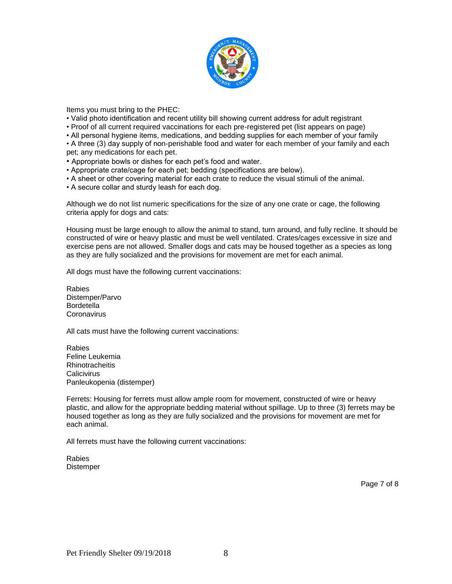

Items you must bring to the PHEC:

- Valid photo identification and recent utility bill showing current address for adult registrant
- Proof of all current required vaccinations for each pre-registered pet (list appears on page)
- All personal hygiene items, medications, and bedding supplies for each member of your family

• A three (3) day supply of non-perishable food and water for each member of your family and each pet; any medications for each pet.

- Appropriate bowls or dishes for each pet's food and water.
- Appropriate crate/cage for each pet; bedding (specifications are below).
- A sheet or other covering material for each crate to reduce the visual stimuli of the animal.
- A secure collar and sturdy leash for each dog.

Although we do not list numeric specifications for the size of any one crate or cage, the following criteria apply for dogs and cats:

Housing must be large enough to allow the animal to stand, turn around, and fully recline. It should be constructed of wire or heavy plastic and must be well ventilated. Crates/cages excessive in size and exercise pens are not allowed. Smaller dogs and cats may be housed together as a species as long as they are fully socialized and the provisions for movement are met for each animal.

All dogs must have the following current vaccinations:

Rabies Distemper/Parvo **Bordetella Coronavirus** 

All cats must have the following current vaccinations:

Rabies Feline Leukemia **Rhinotracheitis Calicivirus** Panleukopenia (distemper)

Ferrets: Housing for ferrets must allow ample room for movement, constructed of wire or heavy plastic, and allow for the appropriate bedding material without spillage. Up to three (3) ferrets may be housed together as long as they are fully socialized and the provisions for movement are met for each animal.

All ferrets must have the following current vaccinations:

Rabies **Distemper** 

Page 7 of 8